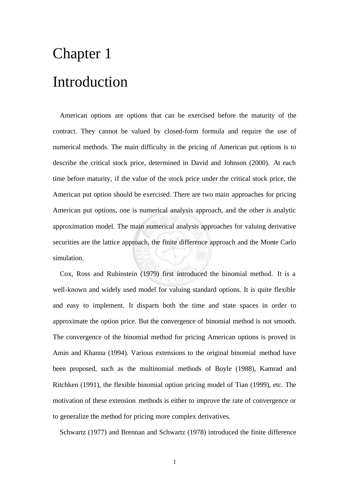## Chapter 1 Introduction

American options are options that can be exercised before the maturity of the contract. They cannot be valued by closed-form formula and require the use of numerical methods. The main difficulty in the pricing of American put options is to describe the critical stock price, determined in David and Johnson (2000). At each time before maturity, if the value of the stock price under the critical stock price, the American put option should be exercised. There are two main approaches for pricing American put options, one is numerical analysis approach, and the other is analytic approximation model. The main numerical analysis approaches for valuing derivative securities are the lattice approach, the finite difference approach and the Monte Carlo simulation.

Cox, Ross and Rubinstein (1979) first introduced the binomial method. It is a well-known and widely used model for valuing standard options. It is quite flexible and easy to implement. It disparts both the time and state spaces in order to approximate the option price. But the convergence of binomial method is not smooth. The convergence of the binomial method for pricing American options is proved in Amin and Khanna (1994). Various extensions to the original binomial method have been proposed, such as the multinomial methods of Boyle (1988), Kamrad and Ritchken (1991), the flexible binomial option pricing model of Tian (1999), etc. The motivation of these extension methods is either to improve the rate of convergence or to generalize the method for pricing more complex derivatives.

Schwartz (1977) and Brennan and Schwartz (1978) introduced the finite difference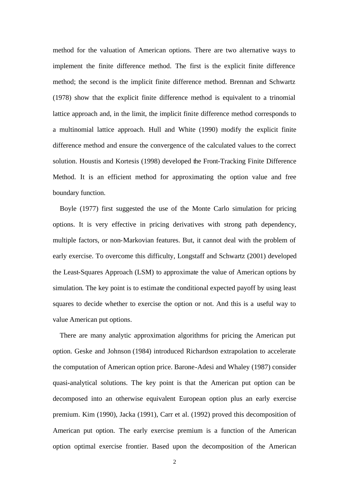method for the valuation of American options. There are two alternative ways to implement the finite difference method. The first is the explicit finite difference method; the second is the implicit finite difference method. Brennan and Schwartz (1978) show that the explicit finite difference method is equivalent to a trinomial lattice approach and, in the limit, the implicit finite difference method corresponds to a multinomial lattice approach. Hull and White (1990) modify the explicit finite difference method and ensure the convergence of the calculated values to the correct solution. Houstis and Kortesis (1998) developed the Front-Tracking Finite Difference Method. It is an efficient method for approximating the option value and free boundary function.

Boyle (1977) first suggested the use of the Monte Carlo simulation for pricing options. It is very effective in pricing derivatives with strong path dependency, multiple factors, or non-Markovian features. But, it cannot deal with the problem of early exercise. To overcome this difficulty, Longstaff and Schwartz (2001) developed the Least-Squares Approach (LSM) to approximate the value of American options by simulation. The key point is to estimate the conditional expected payoff by using least squares to decide whether to exercise the option or not. And this is a useful way to value American put options.

There are many analytic approximation algorithms for pricing the American put option. Geske and Johnson (1984) introduced Richardson extrapolation to accelerate the computation of American option price. Barone-Adesi and Whaley (1987) consider quasi-analytical solutions. The key point is that the American put option can be decomposed into an otherwise equivalent European option plus an early exercise premium. Kim (1990), Jacka (1991), Carr et al. (1992) proved this decomposition of American put option. The early exercise premium is a function of the American option optimal exercise frontier. Based upon the decomposition of the American